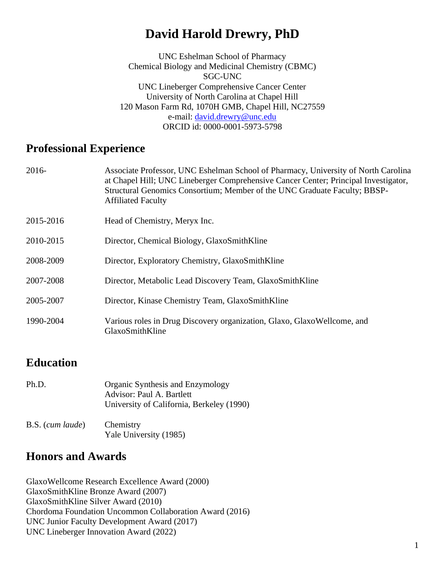# **David Harold Drewry, PhD**

UNC Eshelman School of Pharmacy Chemical Biology and Medicinal Chemistry (CBMC) SGC-UNC UNC Lineberger Comprehensive Cancer Center University of North Carolina at Chapel Hill 120 Mason Farm Rd, 1070H GMB, Chapel Hill, NC27559 e-mail: [david.drewry@unc.edu](mailto:david.drewry@unc.edu) ORCID id: 0000-0001-5973-5798

## **Professional Experience**

| 2016-     | Associate Professor, UNC Eshelman School of Pharmacy, University of North Carolina<br>at Chapel Hill; UNC Lineberger Comprehensive Cancer Center; Principal Investigator,<br>Structural Genomics Consortium; Member of the UNC Graduate Faculty; BBSP-<br><b>Affiliated Faculty</b> |
|-----------|-------------------------------------------------------------------------------------------------------------------------------------------------------------------------------------------------------------------------------------------------------------------------------------|
| 2015-2016 | Head of Chemistry, Meryx Inc.                                                                                                                                                                                                                                                       |
| 2010-2015 | Director, Chemical Biology, GlaxoSmithKline                                                                                                                                                                                                                                         |
| 2008-2009 | Director, Exploratory Chemistry, GlaxoSmithKline                                                                                                                                                                                                                                    |
| 2007-2008 | Director, Metabolic Lead Discovery Team, GlaxoSmithKline                                                                                                                                                                                                                            |
| 2005-2007 | Director, Kinase Chemistry Team, GlaxoSmithKline                                                                                                                                                                                                                                    |
| 1990-2004 | Various roles in Drug Discovery organization, Glaxo, GlaxoWellcome, and<br>GlaxoSmithKline                                                                                                                                                                                          |

# **Education**

| Ph.D.            | Organic Synthesis and Enzymology<br>Advisor: Paul A. Bartlett<br>University of California, Berkeley (1990) |
|------------------|------------------------------------------------------------------------------------------------------------|
| B.S. (cum laude) | Chemistry<br>Yale University (1985)                                                                        |

# **Honors and Awards**

GlaxoWellcome Research Excellence Award (2000) GlaxoSmithKline Bronze Award (2007) GlaxoSmithKline Silver Award (2010) Chordoma Foundation Uncommon Collaboration Award (2016) UNC Junior Faculty Development Award (2017) UNC Lineberger Innovation Award (2022)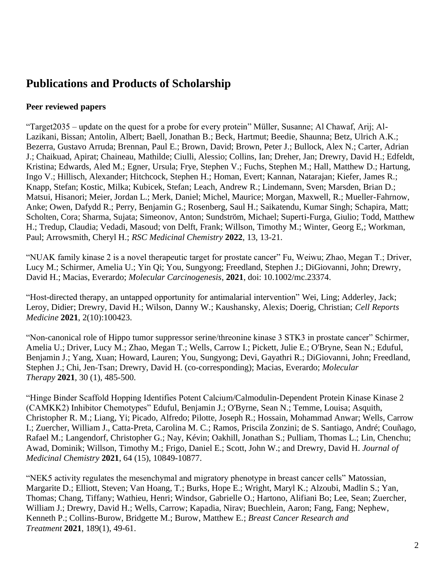# **Publications and Products of Scholarship**

### **Peer reviewed papers**

"Target2035 – update on the quest for a probe for every protein" Müller, Susanne; Al Chawaf, Arij; Al-Lazikani, Bissan; Antolin, Albert; Baell, Jonathan B.; Beck, Hartmut; Beedie, Shaunna; Betz, Ulrich A.K.; Bezerra, Gustavo Arruda; Brennan, Paul E.; Brown, David; Brown, Peter J.; Bullock, Alex N.; Carter, Adrian J.; Chaikuad, Apirat; Chaineau, Mathilde; Ciulli, Alessio; Collins, Ian; Dreher, Jan; Drewry, David H.; Edfeldt, Kristina; Edwards, Aled M.; Egner, Ursula; Frye, Stephen V.; Fuchs, Stephen M.; Hall, Matthew D.; Hartung, Ingo V.; Hillisch, Alexander; Hitchcock, Stephen H.; Homan, Evert; Kannan, Natarajan; Kiefer, James R.; Knapp, Stefan; Kostic, Milka; Kubicek, Stefan; Leach, Andrew R.; Lindemann, Sven; Marsden, Brian D.; Matsui, Hisanori; Meier, Jordan L.; Merk, Daniel; Michel, Maurice; Morgan, Maxwell, R.; Mueller-Fahrnow, Anke; Owen, Dafydd R.; Perry, Benjamin G.; Rosenberg, Saul H.; Saikatendu, Kumar Singh; Schapira, Matt; Scholten, Cora; Sharma, Sujata; Simeonov, Anton; Sundström, Michael; Superti-Furga, Giulio; Todd, Matthew H.; Tredup, Claudia; Vedadi, Masoud; von Delft, Frank; Willson, Timothy M.; Winter, Georg E,; Workman, Paul; Arrowsmith, Cheryl H.; *RSC Medicinal Chemistry* **2022**, 13, 13-21.

"NUAK family kinase 2 is a novel therapeutic target for prostate cancer" Fu, Weiwu; Zhao, Megan T.; Driver, Lucy M.; Schirmer, Amelia U.; Yin Qi; You, Sungyong; Freedland, Stephen J.; DiGiovanni, John; Drewry, David H.; Macias, Everardo; *Molecular Carcinogenesis*, **2021**, doi: 10.1002/mc.23374.

"Host-directed therapy, an untapped opportunity for antimalarial intervention" Wei, Ling; Adderley, Jack; Leroy, Didier; Drewry, David H.; Wilson, Danny W.; Kaushansky, Alexis; Doerig, Christian; *Cell Reports Medicine* **2021**, 2(10):100423.

"Non-canonical role of Hippo tumor suppressor serine/threonine kinase 3 STK3 in prostate cancer" Schirmer, Amelia U.; Driver, Lucy M.; Zhao, Megan T.; Wells, Carrow I.; Pickett, Julie E.; O'Bryne, Sean N.; Eduful, Benjamin J.; Yang, Xuan; Howard, Lauren; You, Sungyong; Devi, Gayathri R.; DiGiovanni, John; Freedland, Stephen J.; Chi, Jen-Tsan; Drewry, David H. (co-corresponding); Macias, Everardo; *Molecular Therapy* **2021**, 30 (1), 485-500.

"Hinge Binder Scaffold Hopping Identifies Potent Calcium/Calmodulin-Dependent Protein Kinase Kinase 2 (CAMKK2) Inhibitor Chemotypes" Eduful, Benjamin J.; O'Byrne, Sean N.; Temme, Louisa; Asquith, Christopher R. M.; Liang, Yi; Picado, Alfredo; Pilotte, Joseph R.; Hossain, Mohammad Anwar; Wells, Carrow I.; Zuercher, William J., Catta-Preta, Carolina M. C.; Ramos, Priscila Zonzini; de S. Santiago, André; Couñago, Rafael M.; Langendorf, Christopher G.; Nay, Kévin; Oakhill, Jonathan S.; Pulliam, Thomas L.; Lin, Chenchu; Awad, Dominik; Willson, Timothy M.; Frigo, Daniel E.; Scott, John W.; and Drewry, David H. *Journal of Medicinal Chemistry* **2021**, 64 (15), 10849-10877.

"NEK5 activity regulates the mesenchymal and migratory phenotype in breast cancer cells" Matossian, Margarite D.; Elliott, Steven; Van Hoang, T.; Burks, Hope E.; Wright, Maryl K.; Alzoubi, Madlin S.; Yan, Thomas; Chang, Tiffany; Wathieu, Henri; Windsor, Gabrielle O.; Hartono, Alifiani Bo; Lee, Sean; Zuercher, William J.; Drewry, David H.; Wells, Carrow; Kapadia, Nirav; Buechlein, Aaron; Fang, Fang; Nephew, Kenneth P.; Collins-Burow, Bridgette M.; Burow, Matthew E.; *Breast Cancer Research and Treatment* **2021**, 189(1), 49-61.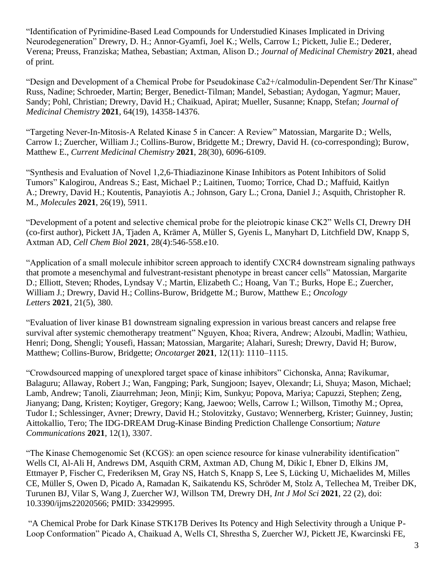"Identification of Pyrimidine-Based Lead Compounds for Understudied Kinases Implicated in Driving Neurodegeneration" Drewry, D. H.; Annor-Gyamfi, Joel K.; Wells, Carrow I.; Pickett, Julie E.; Dederer, Verena; Preuss, Franziska; Mathea, Sebastian; Axtman, Alison D.; *Journal of Medicinal Chemistry* **2021**, ahead of print.

"Design and Development of a Chemical Probe for Pseudokinase Ca2+/calmodulin-Dependent Ser/Thr Kinase" Russ, Nadine; Schroeder, Martin; Berger, Benedict-Tilman; Mandel, Sebastian; Aydogan, Yagmur; Mauer, Sandy; Pohl, Christian; Drewry, David H.; Chaikuad, Apirat; Mueller, Susanne; Knapp, Stefan; *Journal of Medicinal Chemistry* **2021**, 64(19), 14358-14376.

"Targeting Never-In-Mitosis-A Related Kinase 5 in Cancer: A Review" Matossian, Margarite D.; Wells, Carrow I.; Zuercher, William J.; Collins-Burow, Bridgette M.; Drewry, David H. (co-corresponding); Burow, Matthew E., *Current Medicinal Chemistry* **2021**, 28(30), 6096-6109.

"Synthesis and Evaluation of Novel 1,2,6-Thiadiazinone Kinase Inhibitors as Potent Inhibitors of Solid Tumors" Kalogirou, Andreas S.; East, Michael P.; Laitinen, Tuomo; Torrice, Chad D.; Maffuid, Kaitlyn A.; Drewry, David H.; Koutentis, Panayiotis A.; Johnson, Gary L.; Crona, Daniel J.; Asquith, Christopher R. M., *Molecules* **2021**, 26(19), 5911.

"Development of a potent and selective chemical probe for the pleiotropic kinase CK2" Wells CI, Drewry DH (co-first author), Pickett JA, Tjaden A, Krämer A, Müller S, Gyenis L, Manyhart D, Litchfield DW, Knapp S, Axtman AD, *Cell Chem Biol* **2021**, 28(4):546-558.e10.

"Application of a small molecule inhibitor screen approach to identify CXCR4 downstream signaling pathways that promote a mesenchymal and fulvestrant-resistant phenotype in breast cancer cells" Matossian, Margarite D.; Elliott, Steven; Rhodes, Lyndsay V.; Martin, Elizabeth C.; Hoang, Van T.; Burks, Hope E.; Zuercher, William J.; Drewry, David H.; Collins-Burow, Bridgette M.; Burow, Matthew E.; *Oncology Letters* **2021**, 21(5), 380.

"Evaluation of liver kinase B1 downstream signaling expression in various breast cancers and relapse free survival after systemic chemotherapy treatment" Nguyen, Khoa; Rivera, Andrew; Alzoubi, Madlin; Wathieu, Henri; Dong, Shengli; Yousefi, Hassan; Matossian, Margarite; Alahari, Suresh; Drewry, David H; Burow, Matthew; Collins-Burow, Bridgette; *Oncotarget* **2021**, 12(11): 1110–1115.

"Crowdsourced mapping of unexplored target space of kinase inhibitors" Cichonska, Anna; Ravikumar, Balaguru; Allaway, Robert J.; Wan, Fangping; Park, Sungjoon; Isayev, Olexandr; Li, Shuya; Mason, Michael; Lamb, Andrew; Tanoli, Ziaurrehman; Jeon, Minji; Kim, Sunkyu; Popova, Mariya; Capuzzi, Stephen; Zeng, Jianyang; Dang, Kristen; Koytiger, Gregory; Kang, Jaewoo; Wells, Carrow I.; Willson, Timothy M.; Oprea, Tudor I.; Schlessinger, Avner; Drewry, David H.; Stolovitzky, Gustavo; Wennerberg, Krister; Guinney, Justin; Aittokallio, Tero; The IDG-DREAM Drug-Kinase Binding Prediction Challenge Consortium; *Nature Communications* **2021**, 12(1), 3307.

"The Kinase Chemogenomic Set (KCGS): an open science resource for kinase vulnerability identification" Wells CI, Al-Ali H, Andrews DM, Asquith CRM, Axtman AD, Chung M, Dikic I, Ebner D, Elkins JM, Ettmayer P, Fischer C, Frederiksen M, Gray NS, Hatch S, Knapp S, Lee S, Lücking U, Michaelides M, Milles CE, Müller S, Owen D, Picado A, Ramadan K, Saikatendu KS, Schröder M, Stolz A, Tellechea M, Treiber DK, Turunen BJ, Vilar S, Wang J, Zuercher WJ, Willson TM, Drewry DH, *Int J Mol Sci* **2021**, 22 (2), doi: 10.3390/ijms22020566; PMID: 33429995.

"A Chemical Probe for Dark Kinase STK17B Derives Its Potency and High Selectivity through a Unique P-Loop Conformation" Picado A, Chaikuad A, Wells CI, Shrestha S, Zuercher WJ, Pickett JE, Kwarcinski FE,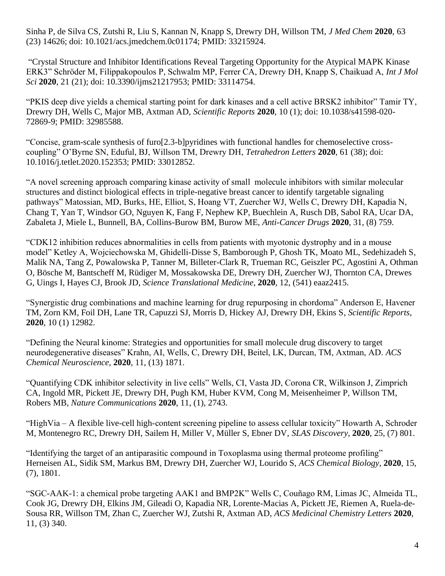Sinha P, de Silva CS, Zutshi R, Liu S, Kannan N, Knapp S, Drewry DH, Willson TM, *J Med Chem* **2020**, 63 (23) 14626; doi: 10.1021/acs.jmedchem.0c01174; PMID: 33215924.

"Crystal Structure and Inhibitor Identifications Reveal Targeting Opportunity for the Atypical MAPK Kinase ERK3" Schröder M, Filippakopoulos P, Schwalm MP, Ferrer CA, Drewry DH, Knapp S, Chaikuad A, *Int J Mol Sci* **2020**, 21 (21); doi: 10.3390/ijms21217953; PMID: 33114754.

"PKIS deep dive yields a chemical starting point for dark kinases and a cell active BRSK2 inhibitor" Tamir TY, Drewry DH, Wells C, Major MB, Axtman AD, *Scientific Reports* **2020**, 10 (1); doi: 10.1038/s41598-020- 72869-9; PMID: 32985588.

"Concise, gram-scale synthesis of furo[2.3-b]pyridines with functional handles for chemoselective crosscoupling" O'Byrne SN, Eduful, BJ, Willson TM, Drewry DH, *Tetrahedron Letters* **2020**, 61 (38); doi: 10.1016/j.tetlet.2020.152353; PMID: 33012852.

"A novel screening approach comparing kinase activity of small molecule inhibitors with similar molecular structures and distinct biological effects in triple-negative breast cancer to identify targetable signaling pathways" Matossian, MD, Burks, HE, Elliot, S, Hoang VT, Zuercher WJ, Wells C, Drewry DH, Kapadia N, Chang T, Yan T, Windsor GO, Nguyen K, Fang F, Nephew KP, Buechlein A, Rusch DB, Sabol RA, Ucar DA, Zabaleta J, Miele L, Bunnell, BA, Collins-Burow BM, Burow ME, *Anti-Cancer Drugs* **2020**, 31, (8) 759.

"CDK12 inhibition reduces abnormalities in cells from patients with myotonic dystrophy and in a mouse model" Ketley A, Wojciechowska M, Ghidelli-Disse S, Bamborough P, Ghosh TK, Moato ML, Sedehizadeh S, Malik NA, Tang Z, Powalowska P, Tanner M, Billeter-Clark R, Trueman RC, Geiszler PC, Agostini A, Othman O, Bösche M, Bantscheff M, Rüdiger M, Mossakowska DE, Drewry DH, Zuercher WJ, Thornton CA, Drewes G, Uings I, Hayes CJ, Brook JD, *Science Translational Medicine*, **2020**, 12, (541) eaaz2415.

"Synergistic drug combinations and machine learning for drug repurposing in chordoma" Anderson E, Havener TM, Zorn KM, Foil DH, Lane TR, Capuzzi SJ, Morris D, Hickey AJ, Drewry DH, Ekins S, *Scientific Reports*, **2020**, 10 (1) 12982.

"Defining the Neural kinome: Strategies and opportunities for small molecule drug discovery to target neurodegenerative diseases" Krahn, AI, Wells, C, Drewry DH, Beitel, LK, Durcan, TM, Axtman, AD. *ACS Chemical Neuroscience*, **2020**, 11, (13) 1871.

"Quantifying CDK inhibitor selectivity in live cells" Wells, CI, Vasta JD, Corona CR, Wilkinson J, Zimprich CA, Ingold MR, Pickett JE, Drewry DH, Pugh KM, Huber KVM, Cong M, Meisenheimer P, Willson TM, Robers MB, *Nature Communications* **2020**, 11, (1), 2743.

"HighVia – A flexible live-cell high-content screening pipeline to assess cellular toxicity" Howarth A, Schroder M, Montenegro RC, Drewry DH, Sailem H, Miller V, Müller S, Ebner DV, *SLAS Discovery*, **2020**, 25, (7) 801.

"Identifying the target of an antiparasitic compound in Toxoplasma using thermal proteome profiling" Herneisen AL, Sidik SM, Markus BM, Drewry DH, Zuercher WJ, Lourido S, *ACS Chemical Biology*, **2020**, 15, (7), 1801.

"SGC-AAK-1: a chemical probe targeting AAK1 and BMP2K" Wells C, Couñago RM, Limas JC, Almeida TL, Cook JG, Drewry DH, Elkins JM, Gileadi O, Kapadia NR, Lorente-Macias A, Pickett JE, Riemen A, Ruela-de-Sousa RR, Willson TM, Zhan C, Zuercher WJ, Zutshi R, Axtman AD, *ACS Medicinal Chemistry Letters* **2020**, 11, (3) 340.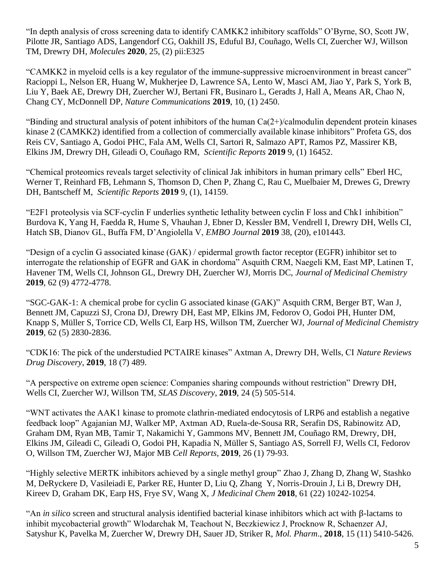"In depth analysis of cross screening data to identify CAMKK2 inhibitory scaffolds" O'Byrne, SO, Scott JW, Pilotte JR, Santiago ADS, Langendorf CG, Oakhill JS, Eduful BJ, Couñago, Wells CI, Zuercher WJ, Willson TM, Drewry DH, *Molecules* **2020**, 25, (2) pii:E325

"CAMKK2 in myeloid cells is a key regulator of the immune-suppressive microenvironment in breast cancer" Racioppi L, Nelson ER, Huang W, Mukherjee D, Lawrence SA, Lento W, Masci AM, Jiao Y, Park S, York B, Liu Y, Baek AE, Drewry DH, Zuercher WJ, Bertani FR, Businaro L, Geradts J, Hall A, Means AR, Chao N, Chang CY, McDonnell DP, *Nature Communications* **2019**, 10, (1) 2450.

"Binding and structural analysis of potent inhibitors of the human  $Ca(2+)$  calmodulin dependent protein kinases kinase 2 (CAMKK2) identified from a collection of commercially available kinase inhibitors" Profeta GS, dos Reis CV, Santiago A, Godoi PHC, Fala AM, Wells CI, Sartori R, Salmazo APT, Ramos PZ, Massirer KB, Elkins JM, Drewry DH, Gileadi O, Couñago RM, *Scientific Reports* **2019** 9, (1) 16452.

"Chemical proteomics reveals target selectivity of clinical Jak inhibitors in human primary cells" Eberl HC, Werner T, Reinhard FB, Lehmann S, Thomson D, Chen P, Zhang C, Rau C, Muelbaier M, Drewes G, Drewry DH, Bantscheff M, *Scientific Reports* **2019** 9, (1), 14159.

"E2F1 proteolysis via SCF-cyclin F underlies synthetic lethality between cyclin F loss and Chk1 inhibition" Burdova K, Yang H, Faedda R, Hume S, Vhauhan J, Ebner D, Kessler BM, Vendrell I, Drewry DH, Wells CI, Hatch SB, Dianov GL, Buffa FM, D'Angiolella V, *EMBO Journal* **2019** 38, (20), e101443.

"Design of a cyclin G associated kinase (GAK) / epidermal growth factor receptor (EGFR) inhibitor set to interrogate the relationship of EGFR and GAK in chordoma" Asquith CRM, Naegeli KM, East MP, Latinen T, Havener TM, Wells CI, Johnson GL, Drewry DH, Zuercher WJ, Morris DC, *Journal of Medicinal Chemistry* **2019**, 62 (9) 4772-4778.

"SGC-GAK-1: A chemical probe for cyclin G associated kinase (GAK)" Asquith CRM, Berger BT, Wan J, Bennett JM, Capuzzi SJ, Crona DJ, Drewry DH, East MP, Elkins JM, Fedorov O, Godoi PH, Hunter DM, Knapp S, Müller S, Torrice CD, Wells CI, Earp HS, Willson TM, Zuercher WJ, *Journal of Medicinal Chemistry* **2019**, 62 (5) 2830-2836.

"CDK16: The pick of the understudied PCTAIRE kinases" Axtman A, Drewry DH, Wells, CI *Nature Reviews Drug Discovery*, **2019**, 18 (7) 489.

"A perspective on extreme open science: Companies sharing compounds without restriction" Drewry DH, Wells CI, Zuercher WJ, Willson TM, *SLAS Discovery*, **2019**, 24 (5) 505-514.

"WNT activates the AAK1 kinase to promote clathrin-mediated endocytosis of LRP6 and establish a negative feedback loop" Agajanian MJ, Walker MP, Axtman AD, Ruela-de-Sousa RR, Serafin DS, Rabinowitz AD, Graham DM, Ryan MB, Tamir T, Nakamichi Y, Gammons MV, Bennett JM, Couñago RM, Drewry, DH, Elkins JM, Gileadi C, Gileadi O, Godoi PH, Kapadia N, Müller S, Santiago AS, Sorrell FJ, Wells CI, Fedorov O, Willson TM, Zuercher WJ, Major MB *Cell Reports*, **2019**, 26 (1) 79-93.

"Highly selective MERTK inhibitors achieved by a single methyl group" Zhao J, Zhang D, Zhang W, Stashko M, DeRyckere D, Vasileiadi E, Parker RE, Hunter D, Liu Q, Zhang Y, Norris-Drouin J, Li B, Drewry DH, Kireev D, Graham DK, Earp HS, Frye SV, Wang X, *J Medicinal Chem* **2018**, 61 (22) 10242-10254.

"An *in silico* screen and structural analysis identified bacterial kinase inhibitors which act with β-lactams to inhibit mycobacterial growth" Wlodarchak M, Teachout N, Beczkiewicz J, Procknow R, Schaenzer AJ, Satyshur K, Pavelka M, Zuercher W, Drewry DH, Sauer JD, Striker R, *Mol. Pharm*., **2018**, 15 (11) 5410-5426.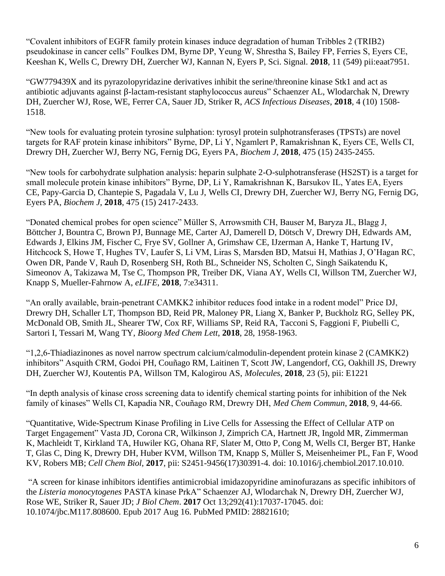"Covalent inhibitors of EGFR family protein kinases induce degradation of human Tribbles 2 (TRIB2) pseudokinase in cancer cells" Foulkes DM, Byrne DP, Yeung W, Shrestha S, Bailey FP, Ferries S, Eyers CE, Keeshan K, Wells C, Drewry DH, Zuercher WJ, Kannan N, Eyers P, Sci. Signal. **2018**, 11 (549) pii:eaat7951.

"GW779439X and its pyrazolopyridazine derivatives inhibit the serine/threonine kinase Stk1 and act as antibiotic adjuvants against β-lactam-resistant staphylococcus aureus" Schaenzer AL, Wlodarchak N, Drewry DH, Zuercher WJ, Rose, WE, Ferrer CA, Sauer JD, Striker R, *ACS Infectious Diseases*, **2018**, 4 (10) 1508- 1518.

"New tools for evaluating protein tyrosine sulphation: tyrosyl protein sulphotransferases (TPSTs) are novel targets for RAF protein kinase inhibitors" Byrne, DP, Li Y, Ngamlert P, Ramakrishnan K, Eyers CE, Wells CI, Drewry DH, Zuercher WJ, Berry NG, Fernig DG, Eyers PA, *Biochem J*, **2018**, 475 (15) 2435-2455.

"New tools for carbohydrate sulphation analysis: heparin sulphate 2-O-sulphotransferase (HS2ST) is a target for small molecule protein kinase inhibitors" Byrne, DP, Li Y, Ramakrishnan K, Barsukov IL, Yates EA, Eyers CE, Papy-Garcia D, Chantepie S, Pagadala V, Lu J, Wells CI, Drewry DH, Zuercher WJ, Berry NG, Fernig DG, Eyers PA, *Biochem J*, **2018**, 475 (15) 2417-2433.

"Donated chemical probes for open science" Müller S, Arrowsmith CH, Bauser M, Baryza JL, Blagg J, Böttcher J, Bountra C, Brown PJ, Bunnage ME, Carter AJ, Damerell D, Dötsch V, Drewry DH, Edwards AM, Edwards J, Elkins JM, Fischer C, Frye SV, Gollner A, Grimshaw CE, IJzerman A, Hanke T, Hartung IV, Hitchcock S, Howe T, Hughes TV, Laufer S, Li VM, Liras S, Marsden BD, Matsui H, Mathias J, O'Hagan RC, Owen DR, Pande V, Rauh D, Rosenberg SH, Roth BL, Schneider NS, Scholten C, Singh Saikatendu K, Simeonov A, Takizawa M, Tse C, Thompson PR, Treiber DK, Viana AY, Wells CI, Willson TM, Zuercher WJ, Knapp S, Mueller-Fahrnow A, *eLIFE*, **2018**, 7:e34311.

"An orally available, brain-penetrant CAMKK2 inhibitor reduces food intake in a rodent model" Price DJ, Drewry DH, Schaller LT, Thompson BD, Reid PR, Maloney PR, Liang X, Banker P, Buckholz RG, Selley PK, McDonald OB, Smith JL, Shearer TW, Cox RF, Williams SP, Reid RA, Tacconi S, Faggioni F, Piubelli C, Sartori I, Tessari M, Wang TY, *Bioorg Med Chem Lett*, **2018**, 28, 1958-1963.

"1,2,6-Thiadiazinones as novel narrow spectrum calcium/calmodulin-dependent protein kinase 2 (CAMKK2) inhibitors" Asquith CRM, Godoi PH, Couñago RM, Laitinen T, Scott JW, Langendorf, CG, Oakhill JS, Drewry DH, Zuercher WJ, Koutentis PA, Willson TM, Kalogirou AS, *Molecules*, **2018**, 23 (5), pii: E1221

"In depth analysis of kinase cross screening data to identify chemical starting points for inhibition of the Nek family of kinases" Wells CI, Kapadia NR, Couñago RM, Drewry DH, *Med Chem Commun*, **2018**, 9, 44-66.

"Quantitative, Wide-Spectrum Kinase Profiling in Live Cells for Assessing the Effect of Cellular ATP on Target Engagement" Vasta JD, Corona CR, Wilkinson J, Zimprich CA, Hartnett JR, Ingold MR, Zimmerman K, Machleidt T, Kirkland TA, Huwiler KG, Ohana RF, Slater M, Otto P, Cong M, Wells CI, Berger BT, Hanke T, Glas C, Ding K, Drewry DH, Huber KVM, Willson TM, Knapp S, Müller S, Meisenheimer PL, Fan F, Wood KV, Robers MB; *Cell Chem Biol*, **2017**, pii: S2451-9456(17)30391-4. doi: 10.1016/j.chembiol.2017.10.010.

"A screen for kinase inhibitors identifies antimicrobial imidazopyridine aminofurazans as specific inhibitors of the *Listeria monocytogenes* PASTA kinase PrkA" Schaenzer AJ, Wlodarchak N, Drewry DH, Zuercher WJ, Rose WE, Striker R, Sauer JD; *J Biol Chem*. **2017** Oct 13;292(41):17037-17045. doi: 10.1074/jbc.M117.808600. Epub 2017 Aug 16. PubMed PMID: 28821610;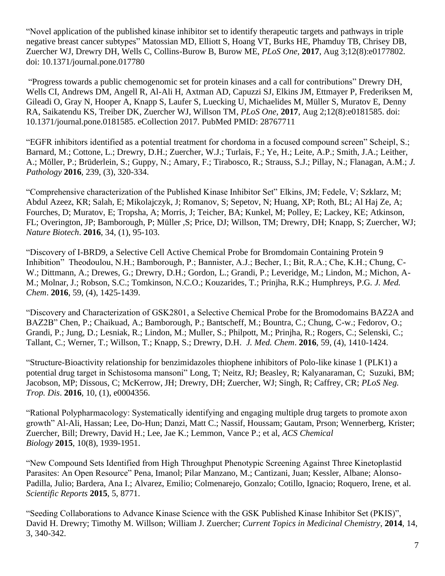"Novel application of the published kinase inhibitor set to identify therapeutic targets and pathways in triple negative breast cancer subtypes" Matossian MD, Elliott S, Hoang VT, Burks HE, Phamduy TB, Chrisey DB, Zuercher WJ, Drewry DH, Wells C, Collins-Burow B, Burow ME, *PLoS One*, **2017**, Aug 3;12(8):e0177802. doi: 10.1371/journal.pone.017780

"Progress towards a public chemogenomic set for protein kinases and a call for contributions" Drewry DH, Wells CI, Andrews DM, Angell R, Al-Ali H, Axtman AD, Capuzzi SJ, Elkins JM, Ettmayer P, Frederiksen M, Gileadi O, Gray N, Hooper A, Knapp S, Laufer S, Luecking U, Michaelides M, Müller S, Muratov E, Denny RA, Saikatendu KS, Treiber DK, Zuercher WJ, Willson TM, *PLoS One*, **2017**, Aug 2;12(8):e0181585. doi: 10.1371/journal.pone.0181585. eCollection 2017. PubMed PMID: 28767711

"EGFR inhibitors identified as a potential treatment for chordoma in a focused compound screen" Scheipl, S.; Barnard, M.; Cottone, L.; Drewry, D.H.; Zuercher, W.J.; Turlais, F.; Ye, H.; Leite, A.P.; Smith, J.A.; Leither, A.; Möller, P.; Brüderlein, S.; Guppy, N.; Amary, F.; Tirabosco, R.; Strauss, S.J.; Pillay, N.; Flanagan, A.M.; *J. Pathology* **2016**, 239, (3), 320-334.

"Comprehensive characterization of the Published Kinase Inhibitor Set" Elkins, JM; Fedele, V; Szklarz, M; Abdul Azeez, KR; Salah, E; Mikolajczyk, J; Romanov, S; Sepetov, N; Huang, XP; Roth, BL; Al Haj Ze, A; Fourches, D; Muratov, E; Tropsha, A; Morris, J; Teicher, BA; Kunkel, M; Polley, E; Lackey, KE; Atkinson, FL; Overington, JP; Bamborough, P; Müller ,S; Price, DJ; Willson, TM; Drewry, DH; Knapp, S; Zuercher, WJ; *Nature Biotech*. **2016**, 34, (1), 95-103.

"Discovery of I-BRD9, a Selective Cell Active Chemical Probe for Bromdomain Containing Protein 9 Inhibition" Theodoulou, N.H.; Bamborough, P.; Bannister, A.J.; Becher, I.; Bit, R.A.; Che, K.H.; Chung, C-W.; Dittmann, A.; Drewes, G.; Drewry, D.H.; Gordon, L.; Grandi, P.; Leveridge, M.; Lindon, M.; Michon, A-M.; Molnar, J.; Robson, S.C.; Tomkinson, N.C.O.; Kouzarides, T.; Prinjha, R.K.; Humphreys, P.G. *J. Med. Chem*. **2016**, 59, (4), 1425-1439.

"Discovery and Characterization of GSK2801, a Selective Chemical Probe for the Bromodomains BAZ2A and BAZ2B" Chen, P.; Chaikuad, A.; Bamborough, P.; Bantscheff, M.; Bountra, C.; Chung, C-w.; Fedorov, O.; Grandi, P.; Jung, D.; Lesniak, R.; Lindon, M.; Muller, S.; Philpott, M.; Prinjha, R.; Rogers, C.; Selenski, C.; Tallant, C.; Werner, T.; Willson, T.; Knapp, S.; Drewry, D.H. *J. Med. Chem*. **2016**, 59, (4), 1410-1424.

"Structure-Bioactivity relationship for benzimidazoles thiophene inhibitors of Polo-like kinase 1 (PLK1) a potential drug target in Schistosoma mansoni" Long, T; Neitz, RJ; Beasley, R; Kalyanaraman, C; Suzuki, BM; Jacobson, MP; Dissous, C; McKerrow, JH; Drewry, DH; Zuercher, WJ; Singh, R; Caffrey, CR; *PLoS Neg. Trop. Dis*. **2016**, 10, (1), e0004356.

"Rational Polypharmacology: Systematically identifying and engaging multiple drug targets to promote axon growth" Al-Ali, Hassan; Lee, Do-Hun; Danzi, Matt C.; Nassif, Houssam; Gautam, Prson; Wennerberg, Krister; Zuercher, Bill; Drewry, David H.; Lee, Jae K.; Lemmon, Vance P.; et al, *ACS Chemical Biology* **2015**, 10(8), 1939-1951.

"New Compound Sets Identified from High Throughput Phenotypic Screening Against Three Kinetoplastid Parasites: An Open Resource" Pena, Imanol; Pilar Manzano, M.; Cantizani, Juan; Kessler, Albane; Alonso-Padilla, Julio; Bardera, Ana I.; Alvarez, Emilio; Colmenarejo, Gonzalo; Cotillo, Ignacio; Roquero, Irene, et al. *Scientific Reports* **2015**, 5, 8771.

"Seeding Collaborations to Advance Kinase Science with the GSK Published Kinase Inhibitor Set (PKIS)", David H. Drewry; Timothy M. Willson; William J. Zuercher; *Current Topics in Medicinal Chemistry*, **2014**, 14, 3, 340-342.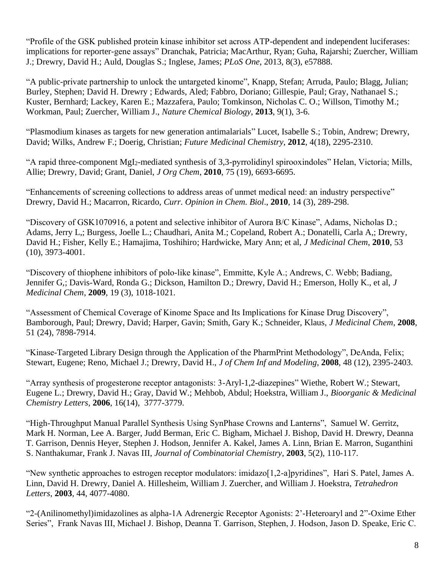"Profile of the GSK published protein kinase inhibitor set across ATP-dependent and independent luciferases: implications for reporter-gene assays" Dranchak, Patricia; MacArthur, Ryan; Guha, Rajarshi; Zuercher, William J.; Drewry, David H.; Auld, Douglas S.; Inglese, James; *PLoS One*, 2013, 8(3), e57888.

"A public-private partnership to unlock the untargeted kinome", Knapp, Stefan; Arruda, Paulo; Blagg, Julian; Burley, Stephen; David H. Drewry ; Edwards, Aled; Fabbro, Doriano; Gillespie, Paul; Gray, Nathanael S.; Kuster, Bernhard; Lackey, Karen E.; Mazzafera, Paulo; Tomkinson, Nicholas C. O.; Willson, Timothy M.; Workman, Paul; Zuercher, William J., *Nature Chemical Biology*, **2013**, 9(1), 3-6.

"Plasmodium kinases as targets for new generation antimalarials" Lucet, Isabelle S.; Tobin, Andrew; Drewry, David; Wilks, Andrew F.; Doerig, Christian; *Future Medicinal Chemistry*, **2012**, 4(18), 2295-2310.

"A rapid three-component MgI2-mediated synthesis of 3,3-pyrrolidinyl spirooxindoles" Helan, Victoria; Mills, Allie; Drewry, David; Grant, Daniel, *J Org Chem*, **2010**, 75 (19), 6693-6695.

"Enhancements of screening collections to address areas of unmet medical need: an industry perspective" Drewry, David H.; Macarron, Ricardo, *Curr. Opinion in Chem. Biol*., **2010**, 14 (3), 289-298.

"Discovery of GSK1070916, a potent and selective inhibitor of Aurora B/C Kinase", Adams, Nicholas D.; Adams, Jerry L,; Burgess, Joelle L.; Chaudhari, Anita M.; Copeland, Robert A.; Donatelli, Carla A,; Drewry, David H.; Fisher, Kelly E.; Hamajima, Toshihiro; Hardwicke, Mary Ann; et al, *J Medicinal Chem*, **2010**, 53 (10), 3973-4001.

"Discovery of thiophene inhibitors of polo-like kinase", Emmitte, Kyle A.; Andrews, C. Webb; Badiang, Jennifer G,; Davis-Ward, Ronda G.; Dickson, Hamilton D.; Drewry, David H.; Emerson, Holly K., et al, *J Medicinal Chem*, **2009**, 19 (3), 1018-1021.

"Assessment of Chemical Coverage of Kinome Space and Its Implications for Kinase Drug Discovery", Bamborough, Paul; Drewry, David; Harper, Gavin; Smith, Gary K.; Schneider, Klaus, *J Medicinal Chem*, **2008**, 51 (24), 7898-7914.

"Kinase-Targeted Library Design through the Application of the PharmPrint Methodology", DeAnda, Felix; Stewart, Eugene; Reno, Michael J.; Drewry, David H., *J of Chem Inf and Modeling*, **2008**, 48 (12), 2395-2403.

"Array synthesis of progesterone receptor antagonists: 3-Aryl-1,2-diazepines" Wiethe, Robert W.; Stewart, Eugene L.; Drewry, David H.; Gray, David W.; Mehbob, Abdul; Hoekstra, William J., *Bioorganic & Medicinal Chemistry Letters,* **2006**, 16(14), 3777-3779.

"High-Throughput Manual Parallel Synthesis Using SynPhase Crowns and Lanterns", Samuel W. Gerritz, Mark H. Norman, Lee A. Barger, Judd Berman, Eric C. Bigham, Michael J. Bishop, David H. Drewry, Deanna T. Garrison, Dennis Heyer, Stephen J. Hodson, Jennifer A. Kakel, James A. Linn, Brian E. Marron, Suganthini S. Nanthakumar, Frank J. Navas III, *Journal of Combinatorial Chemistry*, **2003**, 5(2), 110-117.

"New synthetic approaches to estrogen receptor modulators: imidazo[1,2-a]pyridines", Hari S. Patel, James A. Linn, David H. Drewry, Daniel A. Hillesheim, William J. Zuercher, and William J. Hoekstra, *Tetrahedron Letters*, **2003**, 44, 4077-4080.

"2-(Anilinomethyl)imidazolines as alpha-1A Adrenergic Receptor Agonists: 2'-Heteroaryl and 2"-Oxime Ether Series", Frank Navas III, Michael J. Bishop, Deanna T. Garrison, Stephen, J. Hodson, Jason D. Speake, Eric C.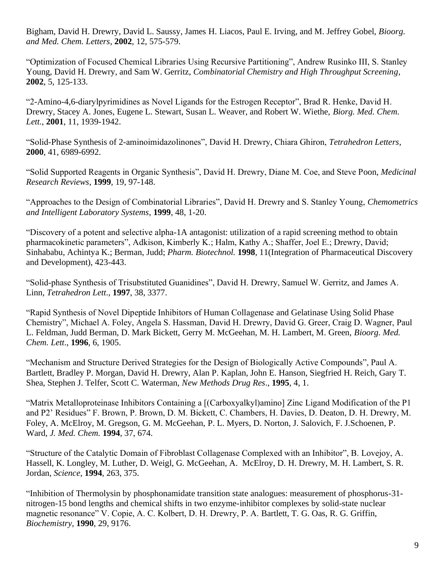Bigham, David H. Drewry, David L. Saussy, James H. Liacos, Paul E. Irving, and M. Jeffrey Gobel, *Bioorg. and Med. Chem. Letters*, **2002**, 12, 575-579.

"Optimization of Focused Chemical Libraries Using Recursive Partitioning", Andrew Rusinko III, S. Stanley Young, David H. Drewry, and Sam W. Gerritz, *Combinatorial Chemistry and High Throughput Screening*, **2002**, 5, 125-133.

"2-Amino-4,6-diarylpyrimidines as Novel Ligands for the Estrogen Receptor", Brad R. Henke, David H. Drewry, Stacey A. Jones, Eugene L. Stewart, Susan L. Weaver, and Robert W. Wiethe, *Biorg. Med. Chem. Lett.*, **2001**, 11, 1939-1942.

"Solid-Phase Synthesis of 2-aminoimidazolinones", David H. Drewry, Chiara Ghiron, *Tetrahedron Letters*, **2000**, 41, 6989-6992.

"Solid Supported Reagents in Organic Synthesis", David H. Drewry, Diane M. Coe, and Steve Poon, *Medicinal Research Reviews*, **1999**, 19, 97-148.

"Approaches to the Design of Combinatorial Libraries", David H. Drewry and S. Stanley Young, *Chemometrics and Intelligent Laboratory Systems*, **1999**, 48, 1-20.

"Discovery of a potent and selective alpha-1A antagonist: utilization of a rapid screening method to obtain pharmacokinetic parameters", Adkison, Kimberly K.; Halm, Kathy A.; Shaffer, Joel E.; Drewry, David; Sinhababu, Achintya K.; Berman, Judd; *Pharm. Biotechnol.* **1998**, 11(Integration of Pharmaceutical Discovery and Development), 423-443.

"Solid-phase Synthesis of Trisubstituted Guanidines", David H. Drewry, Samuel W. Gerritz, and James A. Linn, *Tetrahedron Lett*., **1997**, 38, 3377.

"Rapid Synthesis of Novel Dipeptide Inhibitors of Human Collagenase and Gelatinase Using Solid Phase Chemistry", Michael A. Foley, Angela S. Hassman, David H. Drewry, David G. Greer, Craig D. Wagner, Paul L. Feldman, Judd Berman, D. Mark Bickett, Gerry M. McGeehan, M. H. Lambert, M. Green, *Bioorg. Med. Chem. Lett*., **1996**, 6, 1905.

"Mechanism and Structure Derived Strategies for the Design of Biologically Active Compounds", Paul A. Bartlett, Bradley P. Morgan, David H. Drewry, Alan P. Kaplan, John E. Hanson, Siegfried H. Reich, Gary T. Shea, Stephen J. Telfer, Scott C. Waterman, *New Methods Drug Res*., **1995**, 4, 1.

"Matrix Metalloproteinase Inhibitors Containing a [(Carboxyalkyl)amino] Zinc Ligand Modification of the P1 and P2' Residues" F. Brown, P. Brown, D. M. Bickett, C. Chambers, H. Davies, D. Deaton, D. H. Drewry, M. Foley, A. McElroy, M. Gregson, G. M. McGeehan, P. L. Myers, D. Norton, J. Salovich, F. J.Schoenen, P. Ward, *J. Med. Chem.* **1994**, 37, 674.

"Structure of the Catalytic Domain of Fibroblast Collagenase Complexed with an Inhibitor", B. Lovejoy, A. Hassell, K. Longley, M. Luther, D. Weigl, G. McGeehan, A. McElroy, D. H. Drewry, M. H. Lambert, S. R. Jordan, *Science*, **1994**, 263, 375.

"Inhibition of Thermolysin by phosphonamidate transition state analogues: measurement of phosphorus-31 nitrogen-15 bond lengths and chemical shifts in two enzyme-inhibitor complexes by solid-state nuclear magnetic resonance" V. Copie, A. C. Kolbert, D. H. Drewry, P. A. Bartlett, T. G. Oas, R. G. Griffin, *Biochemistry*, **1990**, 29, 9176.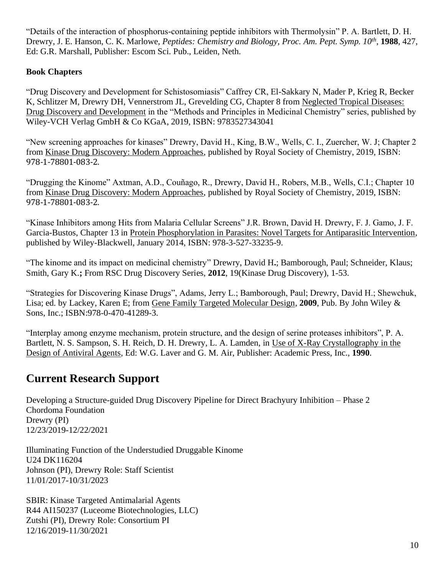"Details of the interaction of phosphorus-containing peptide inhibitors with Thermolysin" P. A. Bartlett, D. H. Drewry, J. E. Hanson, C. K. Marlowe, *Peptides: Chemistry and Biology, Proc. Am. Pept. Symp. 10th* , **1988**, 427, Ed: G.R. Marshall, Publisher: Escom Sci. Pub., Leiden, Neth.

### **Book Chapters**

"Drug Discovery and Development for Schistosomiasis" Caffrey CR, El-Sakkary N, Mader P, Krieg R, Becker K, Schlitzer M, Drewry DH, Vennerstrom JL, Grevelding CG, Chapter 8 from Neglected Tropical Diseases: Drug Discovery and Development in the "Methods and Principles in Medicinal Chemistry" series, published by Wiley-VCH Verlag GmbH & Co KGaA, 2019, ISBN: 9783527343041

"New screening approaches for kinases" Drewry, David H., King, B.W., Wells, C. I., Zuercher, W. J; Chapter 2 from Kinase Drug Discovery: Modern Approaches, published by Royal Society of Chemistry, 2019, ISBN: 978-1-78801-083-2.

"Drugging the Kinome" Axtman, A.D., Couñago, R., Drewry, David H., Robers, M.B., Wells, C.I.; Chapter 10 from Kinase Drug Discovery: Modern Approaches, published by Royal Society of Chemistry, 2019, ISBN: 978-1-78801-083-2.

"Kinase Inhibitors among Hits from Malaria Cellular Screens" J.R. Brown, David H. Drewry, F. J. Gamo, J. F. Garcia-Bustos, Chapter 13 in Protein Phosphorylation in Parasites: Novel Targets for Antiparasitic Intervention, published by Wiley-Blackwell, January 2014, ISBN: 978-3-527-33235-9.

"The kinome and its impact on medicinal chemistry" Drewry, David H**.**; Bamborough, Paul; Schneider, Klaus; Smith, Gary K.**;** From RSC Drug Discovery Series, **2012**, 19(Kinase Drug Discovery), 1-53.

"Strategies for Discovering Kinase Drugs", Adams, Jerry L.; Bamborough, Paul; Drewry, David H.; Shewchuk, Lisa; ed. by Lackey, Karen E; from Gene Family Targeted Molecular Design, **2009**, Pub. By John Wiley & Sons, Inc.; ISBN:978-0-470-41289-3.

"Interplay among enzyme mechanism, protein structure, and the design of serine proteases inhibitors", P. A. Bartlett, N. S. Sampson, S. H. Reich, D. H. Drewry, L. A. Lamden, in Use of X-Ray Crystallography in the Design of Antiviral Agents, Ed: W.G. Laver and G. M. Air, Publisher: Academic Press, Inc., **1990**.

# **Current Research Support**

Developing a Structure-guided Drug Discovery Pipeline for Direct Brachyury Inhibition – Phase 2 Chordoma Foundation Drewry (PI) 12/23/2019-12/22/2021

Illuminating Function of the Understudied Druggable Kinome U24 DK116204 Johnson (PI), Drewry Role: Staff Scientist 11/01/2017-10/31/2023

SBIR: Kinase Targeted Antimalarial Agents R44 AI150237 (Luceome Biotechnologies, LLC) Zutshi (PI), Drewry Role: Consortium PI 12/16/2019-11/30/2021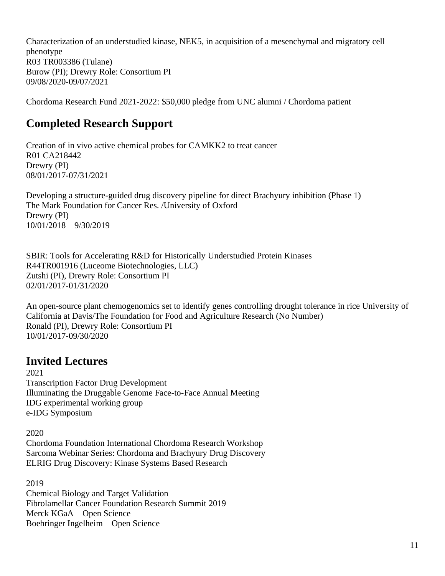Characterization of an understudied kinase, NEK5, in acquisition of a mesenchymal and migratory cell phenotype R03 TR003386 (Tulane) Burow (PI); Drewry Role: Consortium PI 09/08/2020-09/07/2021

Chordoma Research Fund 2021-2022: \$50,000 pledge from UNC alumni / Chordoma patient

# **Completed Research Support**

Creation of in vivo active chemical probes for CAMKK2 to treat cancer R01 CA218442 Drewry (PI) 08/01/2017-07/31/2021

Developing a structure-guided drug discovery pipeline for direct Brachyury inhibition (Phase 1) The Mark Foundation for Cancer Res. /University of Oxford Drewry (PI) 10/01/2018 – 9/30/2019

SBIR: Tools for Accelerating R&D for Historically Understudied Protein Kinases R44TR001916 (Luceome Biotechnologies, LLC) Zutshi (PI), Drewry Role: Consortium PI 02/01/2017-01/31/2020

An open-source plant chemogenomics set to identify genes controlling drought tolerance in rice University of California at Davis/The Foundation for Food and Agriculture Research (No Number) Ronald (PI), Drewry Role: Consortium PI 10/01/2017-09/30/2020

# **Invited Lectures**

2021 Transcription Factor Drug Development Illuminating the Druggable Genome Face-to-Face Annual Meeting IDG experimental working group e-IDG Symposium

2020

Chordoma Foundation International Chordoma Research Workshop Sarcoma Webinar Series: Chordoma and Brachyury Drug Discovery ELRIG Drug Discovery: Kinase Systems Based Research

2019 Chemical Biology and Target Validation Fibrolamellar Cancer Foundation Research Summit 2019 Merck KGaA – Open Science Boehringer Ingelheim – Open Science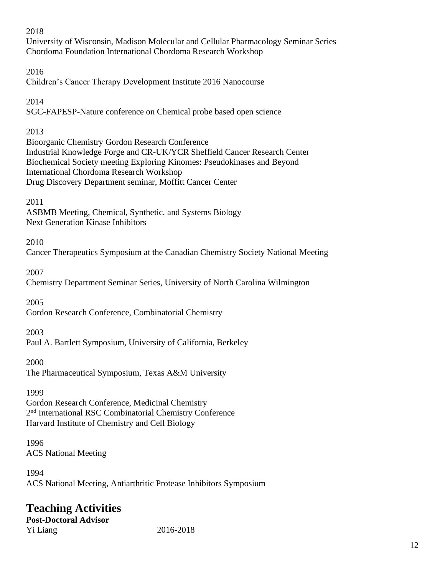#### 2018

University of Wisconsin, Madison Molecular and Cellular Pharmacology Seminar Series Chordoma Foundation International Chordoma Research Workshop

### 2016

Children's Cancer Therapy Development Institute 2016 Nanocourse

### 2014

SGC-FAPESP-Nature conference on Chemical probe based open science

## 2013

Bioorganic Chemistry Gordon Research Conference Industrial Knowledge Forge and CR-UK/YCR Sheffield Cancer Research Center Biochemical Society meeting Exploring Kinomes: Pseudokinases and Beyond International Chordoma Research Workshop Drug Discovery Department seminar, Moffitt Cancer Center

### 2011

ASBMB Meeting, Chemical, Synthetic, and Systems Biology Next Generation Kinase Inhibitors

## 2010

Cancer Therapeutics Symposium at the Canadian Chemistry Society National Meeting

2007

Chemistry Department Seminar Series, University of North Carolina Wilmington

2005

Gordon Research Conference, Combinatorial Chemistry

## 2003

Paul A. Bartlett Symposium, University of California, Berkeley

2000

The Pharmaceutical Symposium, Texas A&M University

### 1999

Gordon Research Conference, Medicinal Chemistry 2 nd International RSC Combinatorial Chemistry Conference Harvard Institute of Chemistry and Cell Biology

1996 ACS National Meeting

1994 ACS National Meeting, Antiarthritic Protease Inhibitors Symposium

# **Teaching Activities**

**Post-Doctoral Advisor** Yi Liang 2016-2018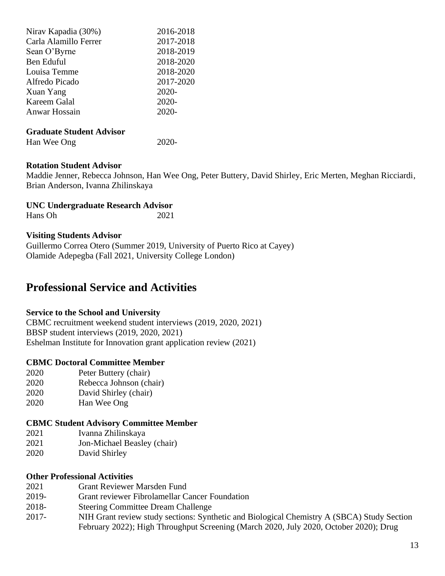| Nirav Kapadia (30%)   | 2016-2018 |
|-----------------------|-----------|
| Carla Alamillo Ferrer | 2017-2018 |
| Sean O'Byrne          | 2018-2019 |
| Ben Eduful            | 2018-2020 |
| Louisa Temme          | 2018-2020 |
| Alfredo Picado        | 2017-2020 |
| Xuan Yang             | 2020-     |
| Kareem Galal          | 2020-     |
| Anwar Hossain         | 2020-     |
|                       |           |

#### **Graduate Student Advisor**

Han Wee Ong 2020-

#### **Rotation Student Advisor**

Maddie Jenner, Rebecca Johnson, Han Wee Ong, Peter Buttery, David Shirley, Eric Merten, Meghan Ricciardi, Brian Anderson, Ivanna Zhilinskaya

**UNC Undergraduate Research Advisor** Hans Oh 2021

#### **Visiting Students Advisor**

Guillermo Correa Otero (Summer 2019, University of Puerto Rico at Cayey) Olamide Adepegba (Fall 2021, University College London)

## **Professional Service and Activities**

#### **Service to the School and University**

CBMC recruitment weekend student interviews (2019, 2020, 2021) BBSP student interviews (2019, 2020, 2021) Eshelman Institute for Innovation grant application review (2021)

#### **CBMC Doctoral Committee Member**

- 2020 Peter Buttery (chair)
- 2020 Rebecca Johnson (chair)
- 2020 David Shirley (chair)
- 2020 Han Wee Ong

#### **CBMC Student Advisory Committee Member**

- 2021 Ivanna Zhilinskaya
- 2021 Jon-Michael Beasley (chair)
- 2020 David Shirley

#### **Other Professional Activities**

- 2021 Grant Reviewer Marsden Fund
- 2019- Grant reviewer Fibrolamellar Cancer Foundation
- 2018- Steering Committee Dream Challenge
- 2017- NIH Grant review study sections: Synthetic and Biological Chemistry A (SBCA) Study Section February 2022); High Throughput Screening (March 2020, July 2020, October 2020); Drug